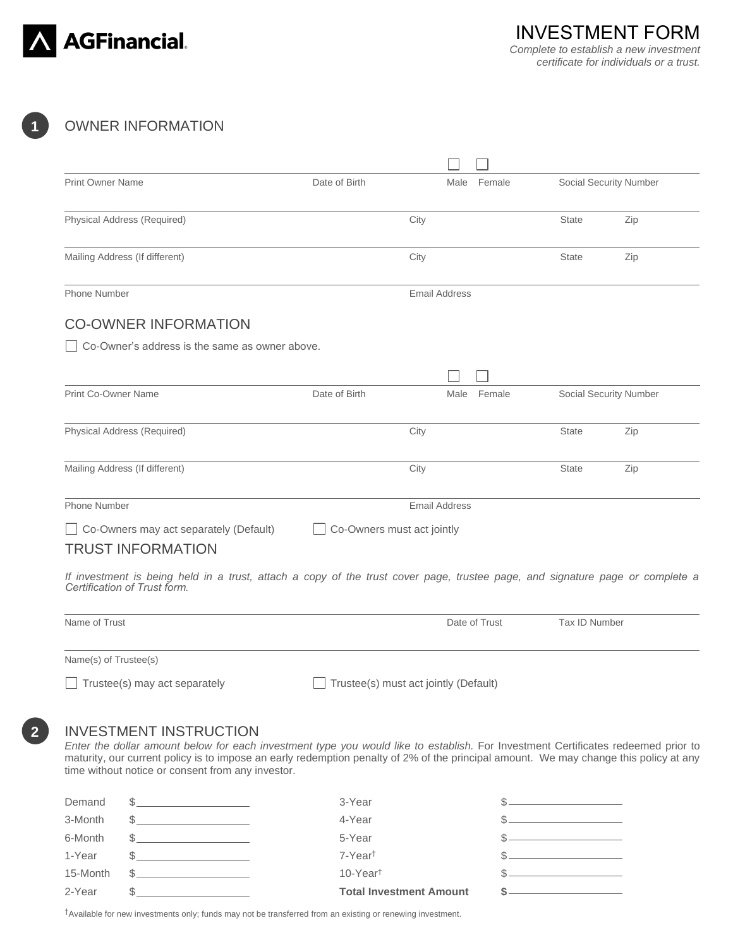

**1**

**2**

# OWNER INFORMATION

| <b>Print Owner Name</b>                                                                                                                                                                                                                                                                                                                                          | Date of Birth              | Female<br>Male                               |               | Social Security Number |
|------------------------------------------------------------------------------------------------------------------------------------------------------------------------------------------------------------------------------------------------------------------------------------------------------------------------------------------------------------------|----------------------------|----------------------------------------------|---------------|------------------------|
| Physical Address (Required)                                                                                                                                                                                                                                                                                                                                      |                            | City                                         | <b>State</b>  | Zip                    |
| Mailing Address (If different)                                                                                                                                                                                                                                                                                                                                   |                            | City                                         | <b>State</b>  | Zip                    |
| <b>Phone Number</b>                                                                                                                                                                                                                                                                                                                                              |                            | <b>Email Address</b>                         |               |                        |
| <b>CO-OWNER INFORMATION</b>                                                                                                                                                                                                                                                                                                                                      |                            |                                              |               |                        |
| Co-Owner's address is the same as owner above.                                                                                                                                                                                                                                                                                                                   |                            |                                              |               |                        |
|                                                                                                                                                                                                                                                                                                                                                                  |                            |                                              |               |                        |
| Print Co-Owner Name                                                                                                                                                                                                                                                                                                                                              | Date of Birth              | Female<br>Male                               |               | Social Security Number |
| Physical Address (Required)                                                                                                                                                                                                                                                                                                                                      |                            | City                                         | <b>State</b>  | Zip                    |
| Mailing Address (If different)                                                                                                                                                                                                                                                                                                                                   |                            | City                                         | <b>State</b>  | Zip                    |
| <b>Phone Number</b>                                                                                                                                                                                                                                                                                                                                              |                            | <b>Email Address</b>                         |               |                        |
| $\Box$ Co-Owners may act separately (Default)<br><b>TRUST INFORMATION</b>                                                                                                                                                                                                                                                                                        | Co-Owners must act jointly |                                              |               |                        |
| If investment is being held in a trust, attach a copy of the trust cover page, trustee page, and signature page or complete a<br>Certification of Trust form.                                                                                                                                                                                                    |                            |                                              |               |                        |
| Name of Trust                                                                                                                                                                                                                                                                                                                                                    |                            | Date of Trust                                | Tax ID Number |                        |
| Name(s) of Trustee(s)                                                                                                                                                                                                                                                                                                                                            |                            |                                              |               |                        |
| $\Box$ Trustee(s) may act separately                                                                                                                                                                                                                                                                                                                             |                            | $\Box$ Trustee(s) must act jointly (Default) |               |                        |
| <b>INVESTMENT INSTRUCTION</b><br>Enter the dollar amount below for each investment type you would like to establish. For Investment Certificates redeemed prior to<br>maturity, our current policy is to impose an early redemption penalty of 2% of the principal amount. We may change this policy at any<br>time without notice or consent from any investor. |                            |                                              |               |                        |
|                                                                                                                                                                                                                                                                                                                                                                  |                            |                                              |               |                        |

| 2-Year   |     | <b>Total Investment Amount</b> |  |
|----------|-----|--------------------------------|--|
| 15-Month | \$. | 10-Year <sup>t</sup>           |  |
| 1-Year   |     | 7-Year <sup>t</sup>            |  |
| 6-Month  |     | 5-Year                         |  |
| 3-Month  |     | 4-Year                         |  |
| Demand   |     | 3-Year                         |  |

†Available for new investments only; funds may not be transferred from an existing or renewing investment.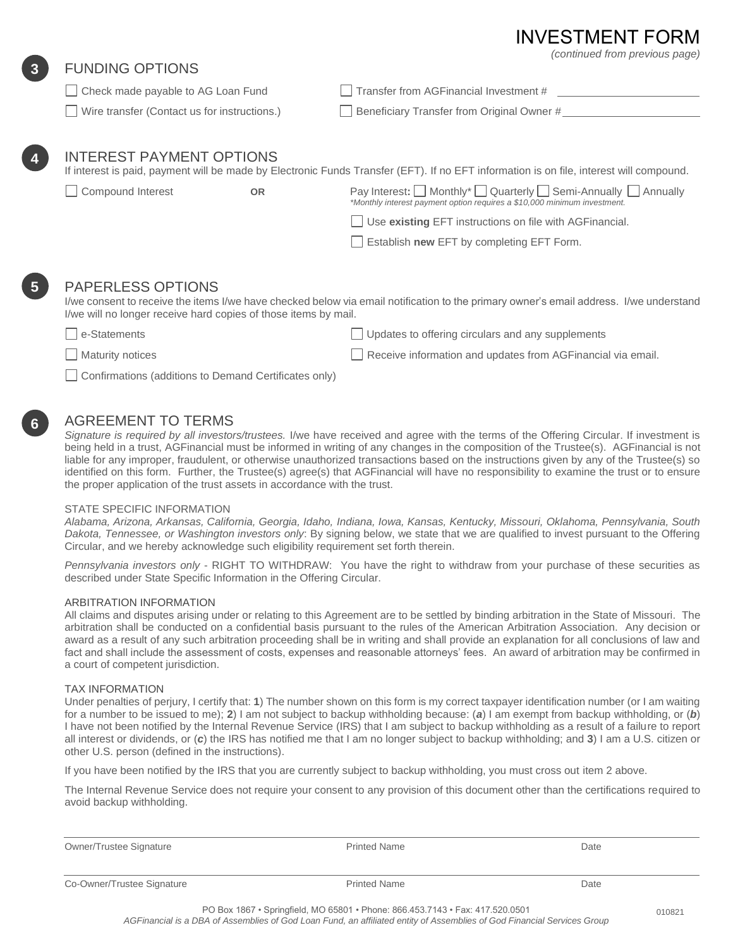# **INVESTMENT FO**

*(continued from previous page)*

## FUNDING OPTIONS

**3**

**4**

**5 4**

**6 4**

| Check made payable to AG Loan Fund           | $\Box$ Transfer from AGFinancial Investment # |
|----------------------------------------------|-----------------------------------------------|
| Wire transfer (Contact us for instructions.) | Beneficiary Transfer from Original Owner #    |

# INTEREST PAYMENT OPTIONS

If interest is paid, payment will be made by Electronic Funds Transfer (EFT). If no EFT information is on file, interest will compound.

CompoundInterest**OR** Pay Interest**:** Monthly\* Quarterly Semi-Annually Annually *\*Monthly interest payment option requires a \$10,000 minimum investment.*

Use **existing** EFT instructions on file with AGFinancial.

Establish **new** EFT by completing EFT Form.

### PAPERLESS OPTIONS

I/we consent to receive the items I/we have checked below via email notification to the primary owner's email address. I/we understand I/we will no longer receive hard copies of those items by mail.

e-Statements Updates to offering circulars and any supplements

Maturity notices **Receive information and updates from AGFinancial via email.** Receive information and updates from AGFinancial via email.

Confirmations (additions to Demand Certificates only)

### AGREEMENT TO TERMS

*Signature is required by all investors/trustees.* I/we have received and agree with the terms of the Offering Circular. If investment is being held in a trust, AGFinancial must be informed in writing of any changes in the composition of the Trustee(s). AGFinancial is not liable for any improper, fraudulent, or otherwise unauthorized transactions based on the instructions given by any of the Trustee(s) so identified on this form. Further, the Trustee(s) agree(s) that AGFinancial will have no responsibility to examine the trust or to ensure the proper application of the trust assets in accordance with the trust.

#### STATE SPECIFIC INFORMATION

*Alabama, Arizona, Arkansas, California, Georgia, Idaho, Indiana, Iowa, Kansas, Kentucky, Missouri, Oklahoma, Pennsylvania, South Dakota, Tennessee, or Washington investors only*: By signing below, we state that we are qualified to invest pursuant to the Offering Circular, and we hereby acknowledge such eligibility requirement set forth therein.

*Pennsylvania investors only* - RIGHT TO WITHDRAW: You have the right to withdraw from your purchase of these securities as described under State Specific Information in the Offering Circular.

#### ARBITRATION INFORMATION

All claims and disputes arising under or relating to this Agreement are to be settled by binding arbitration in the State of Missouri. The arbitration shall be conducted on a confidential basis pursuant to the rules of the American Arbitration Association. Any decision or award as a result of any such arbitration proceeding shall be in writing and shall provide an explanation for all conclusions of law and fact and shall include the assessment of costs, expenses and reasonable attorneys' fees. An award of arbitration may be confirmed in a court of competent jurisdiction.

#### TAX INFORMATION

Under penalties of perjury, I certify that: **1**) The number shown on this form is my correct taxpayer identification number (or I am waiting for a number to be issued to me); **2**) I am not subject to backup withholding because: (*a*) I am exempt from backup withholding, or (*b*) I have not been notified by the Internal Revenue Service (IRS) that I am subject to backup withholding as a result of a failure to report all interest or dividends, or (*c*) the IRS has notified me that I am no longer subject to backup withholding; and **3**) I am a U.S. citizen or other U.S. person (defined in the instructions).

If you have been notified by the IRS that you are currently subject to backup withholding, you must cross out item 2 above.

The Internal Revenue Service does not require your consent to any provision of this document other than the certifications required to avoid backup withholding.

| <b>Owner/Trustee Signature</b> | <b>Printed Name</b> | Date |
|--------------------------------|---------------------|------|
|                                |                     |      |
| Co-Owner/Trustee Signature     | <b>Printed Name</b> | Date |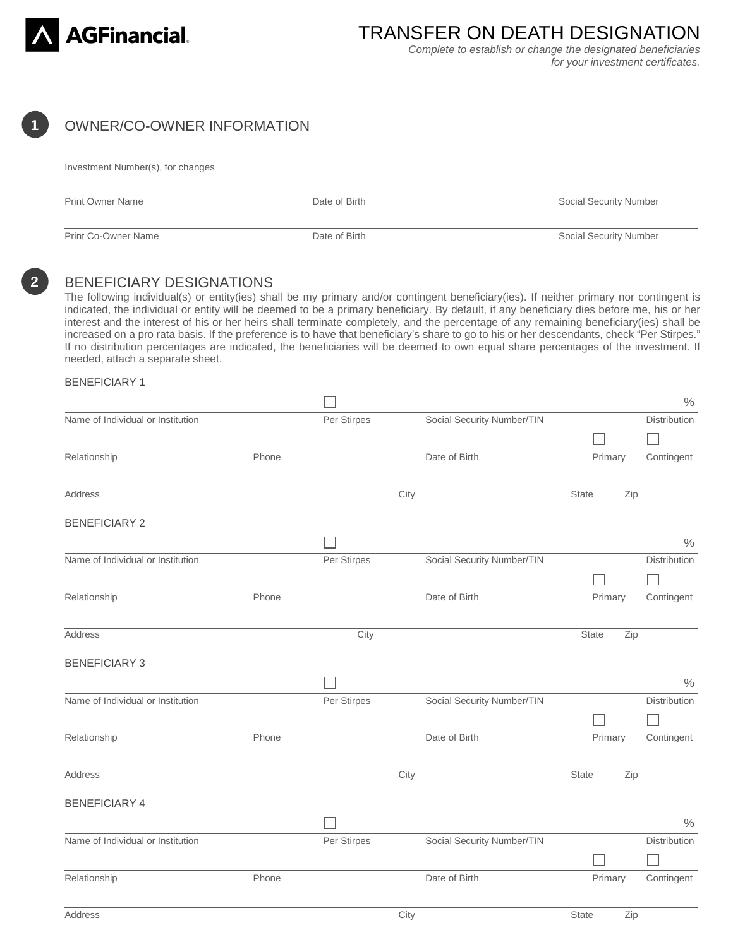

TRANSFER ON DEATH DESIGNATION *Complete to establish or change the designated beneficiaries* 

*for your investment certificates.* 

# **1**

# OWNER/CO-OWNER INFORMATION

| Investment Number(s), for changes |               |                        |  |
|-----------------------------------|---------------|------------------------|--|
| <b>Print Owner Name</b>           | Date of Birth | Social Security Number |  |
| <b>Print Co-Owner Name</b>        | Date of Birth | Social Security Number |  |

**2**

### BENEFICIARY DESIGNATIONS

The following individual(s) or entity(ies) shall be my primary and/or contingent beneficiary(ies). If neither primary nor contingent is indicated, the individual or entity will be deemed to be a primary beneficiary. By default, if any beneficiary dies before me, his or her interest and the interest of his or her heirs shall terminate completely, and the percentage of any remaining beneficiary(ies) shall be increased on a pro rata basis. If the preference is to have that beneficiary's share to go to his or her descendants, check "Per Stirpes." If no distribution percentages are indicated, the beneficiaries will be deemed to own equal share percentages of the investment. If needed, attach a separate sheet.

#### BENEFICIARY 1

|                                   |       |             |                            |              | $\frac{0}{0}$ |
|-----------------------------------|-------|-------------|----------------------------|--------------|---------------|
| Name of Individual or Institution |       | Per Stirpes | Social Security Number/TIN |              | Distribution  |
|                                   |       |             |                            |              |               |
| Relationship                      | Phone |             | Date of Birth              | Primary      | Contingent    |
| Address                           |       |             | City                       | <b>State</b> | Zip           |
| <b>BENEFICIARY 2</b>              |       |             |                            |              |               |
|                                   |       |             |                            |              | $\%$          |
| Name of Individual or Institution |       | Per Stirpes | Social Security Number/TIN |              | Distribution  |
|                                   |       |             |                            |              |               |
| Relationship                      | Phone |             | Date of Birth              | Primary      | Contingent    |
| Address                           |       | City        |                            | State        | Zip           |
| <b>BENEFICIARY 3</b>              |       |             |                            |              |               |
|                                   |       |             |                            |              | $\frac{0}{0}$ |
| Name of Individual or Institution |       | Per Stirpes | Social Security Number/TIN |              | Distribution  |
|                                   |       |             |                            |              |               |
| Relationship                      | Phone |             | Date of Birth              | Primary      | Contingent    |
| Address                           |       |             | City                       | <b>State</b> | Zip           |
| <b>BENEFICIARY 4</b>              |       |             |                            |              |               |
|                                   |       |             |                            |              | $\frac{0}{0}$ |
| Name of Individual or Institution |       | Per Stirpes | Social Security Number/TIN |              | Distribution  |
|                                   |       |             |                            |              |               |
| Relationship                      | Phone |             | Date of Birth              | Primary      | Contingent    |
| Address                           |       |             | City                       | State        | Zip           |